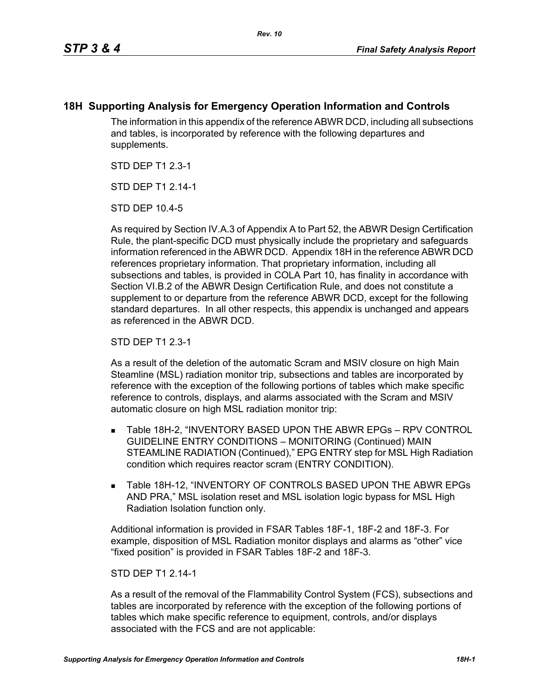## **18H Supporting Analysis for Emergency Operation Information and Controls**

The information in this appendix of the reference ABWR DCD, including all subsections and tables, is incorporated by reference with the following departures and supplements.

STD DEP T1 2.3-1

STD DFP T1 2 14-1

STD DEP 10.4-5

As required by Section IV.A.3 of Appendix A to Part 52, the ABWR Design Certification Rule, the plant-specific DCD must physically include the proprietary and safeguards information referenced in the ABWR DCD. Appendix 18H in the reference ABWR DCD references proprietary information. That proprietary information, including all subsections and tables, is provided in COLA Part 10, has finality in accordance with Section VI.B.2 of the ABWR Design Certification Rule, and does not constitute a supplement to or departure from the reference ABWR DCD, except for the following standard departures. In all other respects, this appendix is unchanged and appears as referenced in the ABWR DCD.

STD DEP T1 2.3-1

As a result of the deletion of the automatic Scram and MSIV closure on high Main Steamline (MSL) radiation monitor trip, subsections and tables are incorporated by reference with the exception of the following portions of tables which make specific reference to controls, displays, and alarms associated with the Scram and MSIV automatic closure on high MSL radiation monitor trip:

- Table 18H-2, "INVENTORY BASED UPON THE ABWR EPGs RPV CONTROL GUIDELINE ENTRY CONDITIONS – MONITORING (Continued) MAIN STEAMLINE RADIATION (Continued)," EPG ENTRY step for MSL High Radiation condition which requires reactor scram (ENTRY CONDITION).
- **Table 18H-12, "INVENTORY OF CONTROLS BASED UPON THE ABWR EPGs** AND PRA," MSL isolation reset and MSL isolation logic bypass for MSL High Radiation Isolation function only.

Additional information is provided in FSAR Tables 18F-1, 18F-2 and 18F-3. For example, disposition of MSL Radiation monitor displays and alarms as "other" vice "fixed position" is provided in FSAR Tables 18F-2 and 18F-3.

## STD DEP T1 2.14-1

As a result of the removal of the Flammability Control System (FCS), subsections and tables are incorporated by reference with the exception of the following portions of tables which make specific reference to equipment, controls, and/or displays associated with the FCS and are not applicable: